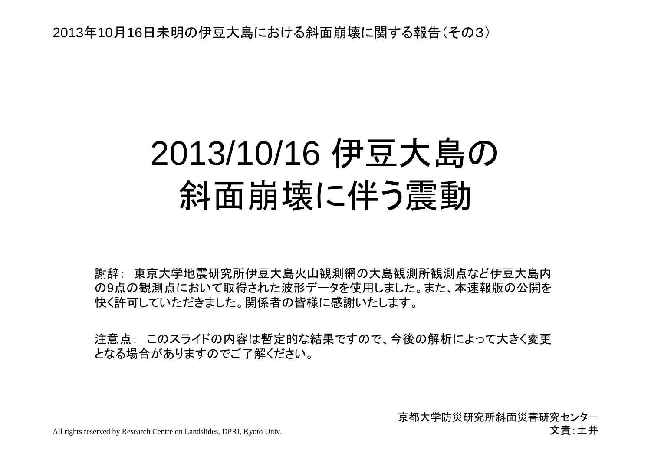2013年10月16日未明の伊豆大島における斜面崩壊に関する報告(その3)

## 2013/10/16 伊豆大島の斜面崩壊に伴う震動

謝辞: 東京大学地震研究所伊豆大島火山観測網の大島観測所観測点など伊豆大島内 の9点の観測点において取得された波形データを使用しました。また、本速報版の公開を快く許可していただきました。関係者の皆様に感謝いたします。

注意点: このスライドの内容は暫定的な結果ですので、今後の解析によって大きく変更 となる場合がありますのでご了解ください。

> 京都大学防災研究所斜面災害研究センター文責:土井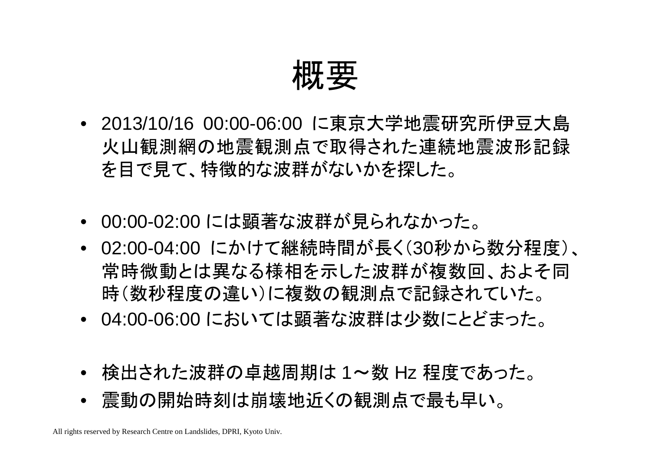概要

- 2013/10/16 00:00-06:00 に東京大学地震研究所伊豆大島火山観測網の地震観測点で取得された連続地震波形記録を目で見て、特徴的な波群がないかを探した。
- 00:00-02:00 には顕著な波群が見られなかった。
- 02:00-04:00 にかけて継続時間が長く(30秒から数分程度)、常時微動とは異なる様相を示した波群が複数回、およそ同時(数秒程度の違い)に複数の観測点で記録されていた。
- 04:00-06:00 においては顕著な波群は少数にとどまった。
- 検出された波群の卓越周期は 1~数 Hz 程度であった。<br>- 電乱の明光はカリカ岩地にくの知迦上で見も思い
- 震動の開始時刻は崩壊地近くの観測点で最も早い。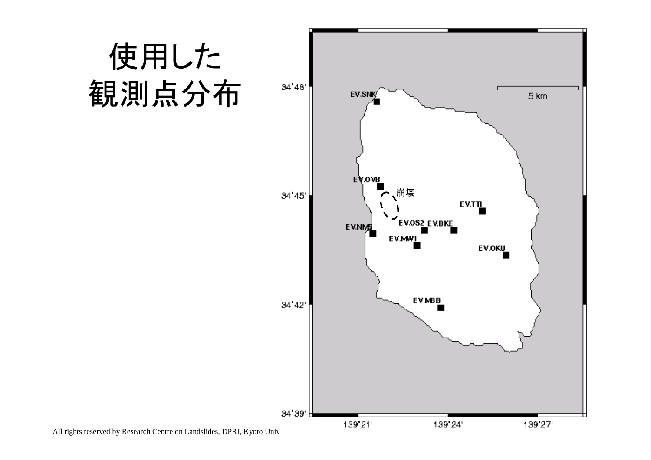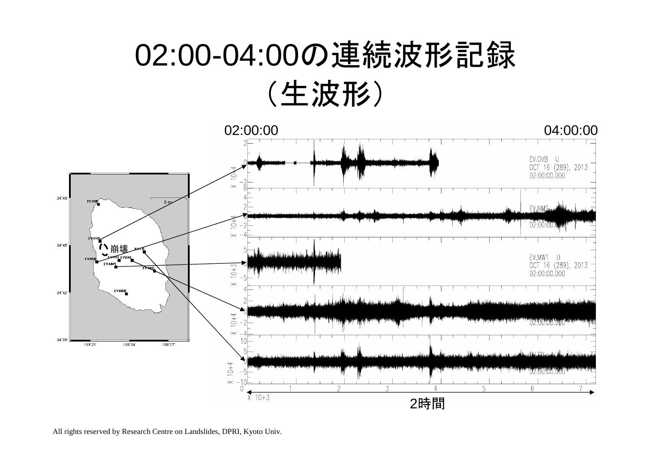## 02:00-04:00の連続波形記録(生波形)



All rights reserved by Research Centre on Landslides, DPRI, Kyoto Univ.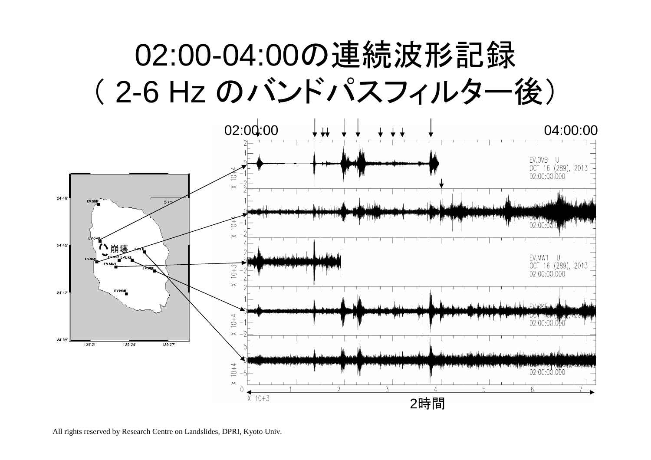## 02:00-04:00の連続波形記録( 2-6 Hz のバンドパスフィルター後)



All rights reserved by Research Centre on Landslides, DPRI, Kyoto Univ.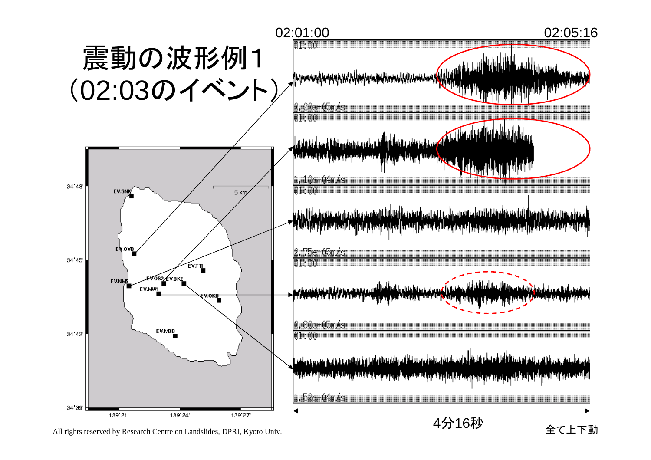

All rights reserved by Research Centre on Landslides, DPRI, Kyoto Univ.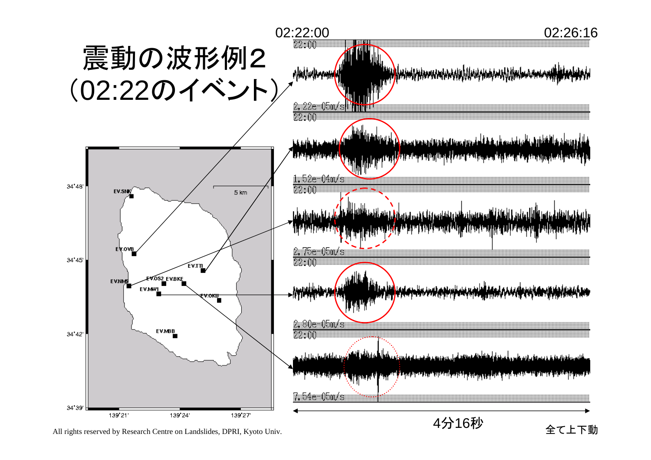

All rights reserved by Research Centre on Landslides, DPRI, Kyoto Univ.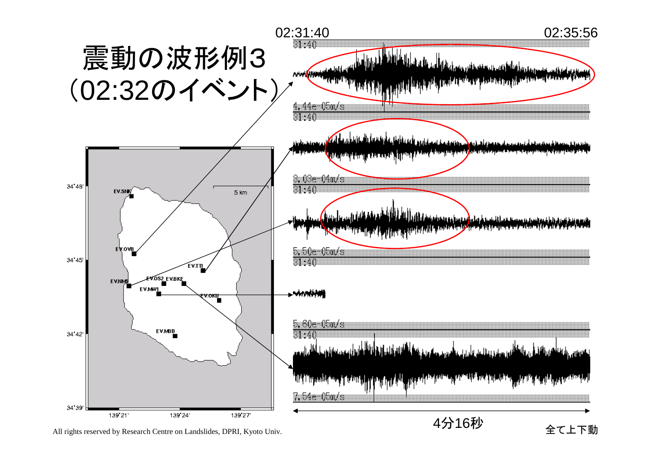

All rights reserved by Research Centre on Landslides, DPRI, Kyoto Univ.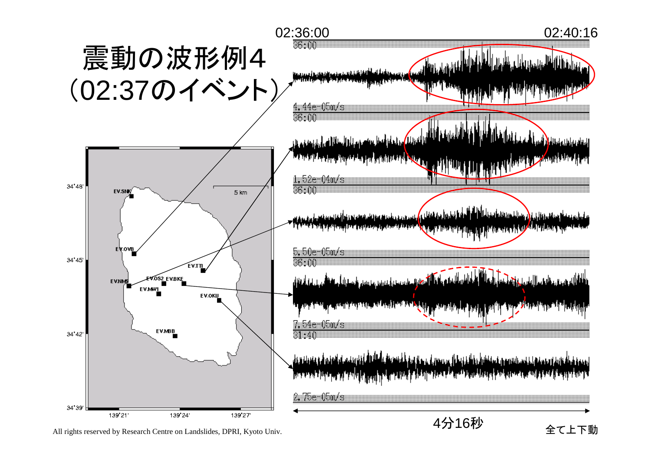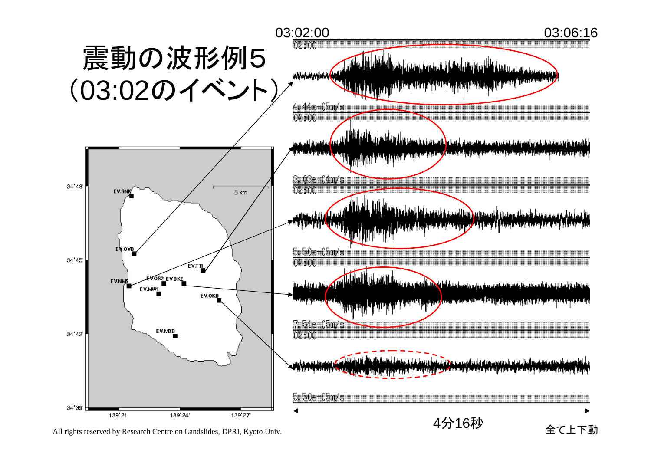

All rights reserved by Research Centre on Landslides, DPRI, Kyoto Univ.